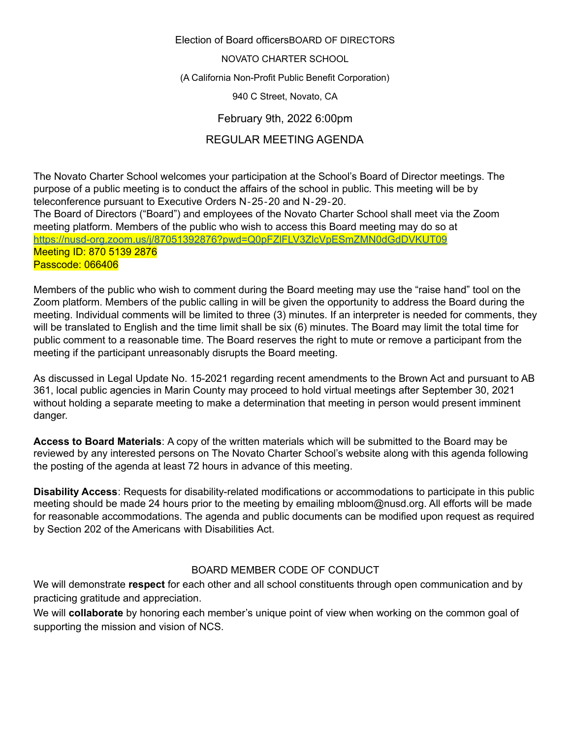#### NOVATO CHARTER SCHOOL

(A California Non-Profit Public Benefit Corporation)

940 C Street, Novato, CA

February 9th, 2022 6:00pm

# REGULAR MEETING AGENDA

The Novato Charter School welcomes your participation at the School's Board of Director meetings. The purpose of a public meeting is to conduct the affairs of the school in public. This meeting will be by teleconference pursuant to Executive Orders N‐25‐20 and N‐29‐20. The Board of Directors ("Board") and employees of the Novato Charter School shall meet via the Zoom meeting platform. Members of the public who wish to access this Board meeting may do so at <https://nusd-org.zoom.us/j/87051392876?pwd=Q0pFZlFLV3ZlcVpESmZMN0dGdDVKUT09> Meeting ID: 870 5139 2876 Passcode: 066406

Members of the public who wish to comment during the Board meeting may use the "raise hand" tool on the Zoom platform. Members of the public calling in will be given the opportunity to address the Board during the meeting. Individual comments will be limited to three (3) minutes. If an interpreter is needed for comments, they will be translated to English and the time limit shall be six (6) minutes. The Board may limit the total time for public comment to a reasonable time. The Board reserves the right to mute or remove a participant from the meeting if the participant unreasonably disrupts the Board meeting.

As discussed in Legal Update No. 15-2021 regarding recent amendments to the Brown Act and pursuant to AB 361, local public agencies in Marin County may proceed to hold virtual meetings after September 30, 2021 without holding a separate meeting to make a determination that meeting in person would present imminent danger.

**Access to Board Materials**: A copy of the written materials which will be submitted to the Board may be reviewed by any interested persons on The Novato Charter School's website along with this agenda following the posting of the agenda at least 72 hours in advance of this meeting.

**Disability Access**: Requests for disability-related modifications or accommodations to participate in this public meeting should be made 24 hours prior to the meeting by emailing mbloom@nusd.org. All efforts will be made for reasonable accommodations. The agenda and public documents can be modified upon request as required by Section 202 of the Americans with Disabilities Act.

# BOARD MEMBER CODE OF CONDUCT

We will demonstrate **respect** for each other and all school constituents through open communication and by practicing gratitude and appreciation.

We will **collaborate** by honoring each member's unique point of view when working on the common goal of supporting the mission and vision of NCS.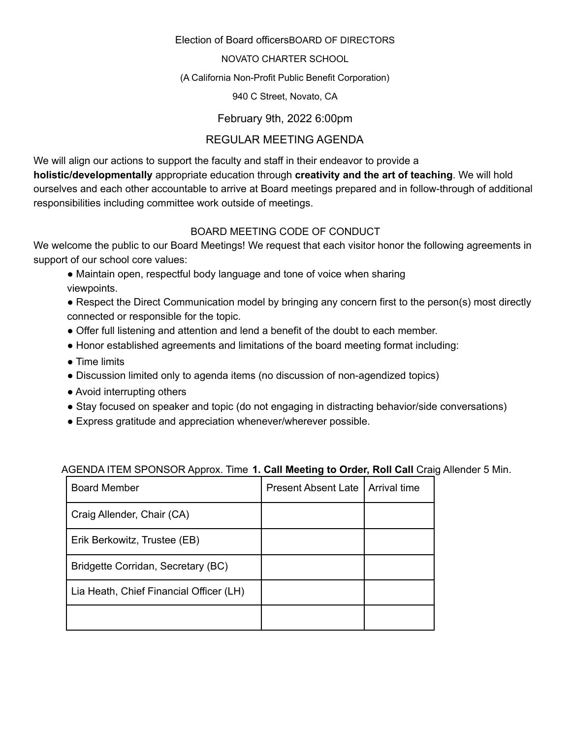### NOVATO CHARTER SCHOOL

### (A California Non-Profit Public Benefit Corporation)

940 C Street, Novato, CA

February 9th, 2022 6:00pm

# REGULAR MEETING AGENDA

We will align our actions to support the faculty and staff in their endeavor to provide a **holistic/developmentally** appropriate education through **creativity and the art of teaching**. We will hold ourselves and each other accountable to arrive at Board meetings prepared and in follow-through of additional responsibilities including committee work outside of meetings.

# BOARD MEETING CODE OF CONDUCT

We welcome the public to our Board Meetings! We request that each visitor honor the following agreements in support of our school core values:

- Maintain open, respectful body language and tone of voice when sharing viewpoints.
- Respect the Direct Communication model by bringing any concern first to the person(s) most directly connected or responsible for the topic.
- Offer full listening and attention and lend a benefit of the doubt to each member.
- Honor established agreements and limitations of the board meeting format including:
- Time limits
- Discussion limited only to agenda items (no discussion of non-agendized topics)
- Avoid interrupting others
- Stay focused on speaker and topic (do not engaging in distracting behavior/side conversations)
- Express gratitude and appreciation whenever/wherever possible.

| <b>Board Member</b>                     | <b>Present Absent Late</b> | Arrival time |
|-----------------------------------------|----------------------------|--------------|
| Craig Allender, Chair (CA)              |                            |              |
| Erik Berkowitz, Trustee (EB)            |                            |              |
| Bridgette Corridan, Secretary (BC)      |                            |              |
| Lia Heath, Chief Financial Officer (LH) |                            |              |
|                                         |                            |              |

# AGENDA ITEM SPONSOR Approx. Time **1. Call Meeting to Order, Roll Call** Craig Allender 5 Min.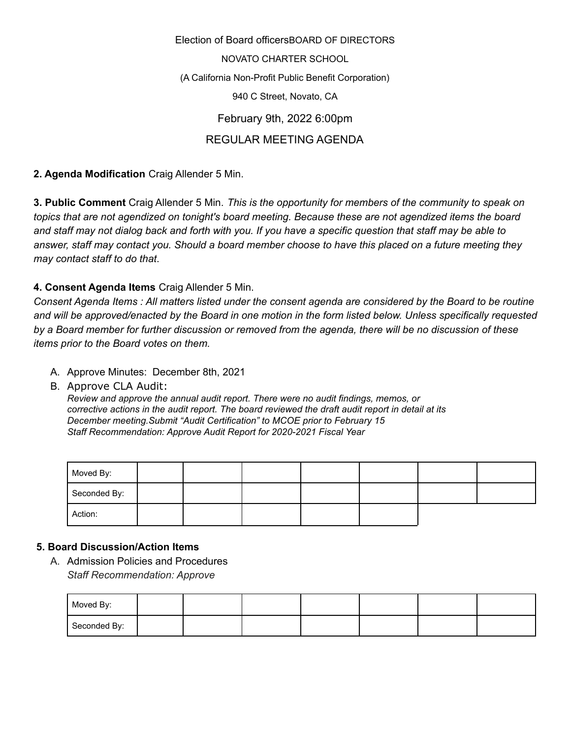Election of Board officersBOARD OF DIRECTORS NOVATO CHARTER SCHOOL (A California Non-Profit Public Benefit Corporation) 940 C Street, Novato, CA February 9th, 2022 6:00pm REGULAR MEETING AGENDA

**2. Agenda Modification** Craig Allender 5 Min.

**3. Public Comment** Craig Allender 5 Min. *This is the opportunity for members of the community to speak on topics that are not agendized on tonight's board meeting. Because these are not agendized items the board* and staff may not dialog back and forth with you. If you have a specific question that staff may be able to answer, staff may contact you. Should a board member choose to have this placed on a future meeting they *may contact staff to do that*.

## **4. Consent Agenda Items** Craig Allender 5 Min.

Consent Agenda Items : All matters listed under the consent agenda are considered by the Board to be routine and will be approved/enacted by the Board in one motion in the form listed below. Unless specifically requested by a Board member for further discussion or removed from the agenda, there will be no discussion of these *items prior to the Board votes on them.*

- A. Approve Minutes: December 8th, 2021
- B. Approve CLA Audit:

*Review and approve the annual audit report. There were no audit findings, memos, or corrective actions in the audit report. The board reviewed the draft audit report in detail at its December meeting.Submit "Audit Certification" to MCOE prior to February 15 Staff Recommendation: Approve Audit Report for 2020-2021 Fiscal Year*

| Moved By:    |  |  |  |  |
|--------------|--|--|--|--|
| Seconded By: |  |  |  |  |
| Action:      |  |  |  |  |

### **5. Board Discussion/Action Items**

A. Admission Policies and Procedures *Staff Recommendation: Approve*

| Moved By:    |  |  |  |  |
|--------------|--|--|--|--|
| Seconded By: |  |  |  |  |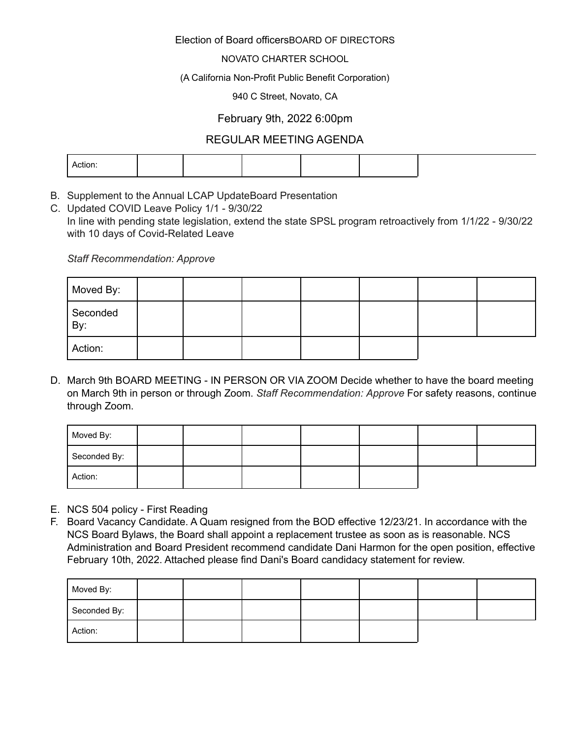#### NOVATO CHARTER SCHOOL

#### (A California Non-Profit Public Benefit Corporation)

#### 940 C Street, Novato, CA

## February 9th, 2022 6:00pm

## REGULAR MEETING AGENDA

|--|

- B. Supplement to the Annual LCAP UpdateBoard Presentation
- C. Updated COVID Leave Policy 1/1 9/30/22 In line with pending state legislation, extend the state SPSL program retroactively from 1/1/22 - 9/30/22 with 10 days of Covid-Related Leave

*Staff Recommendation: Approve*

| Moved By:       |  |  |  |  |
|-----------------|--|--|--|--|
| Seconded<br>By: |  |  |  |  |
| Action:         |  |  |  |  |

D. March 9th BOARD MEETING - IN PERSON OR VIA ZOOM Decide whether to have the board meeting on March 9th in person or through Zoom. *Staff Recommendation: Approve* For safety reasons, continue through Zoom.

| Moved By:    |  |  |  |  |
|--------------|--|--|--|--|
| Seconded By: |  |  |  |  |
| Action:      |  |  |  |  |

- E. NCS 504 policy First Reading
- F. Board Vacancy Candidate. A Quam resigned from the BOD effective 12/23/21. In accordance with the NCS Board Bylaws, the Board shall appoint a replacement trustee as soon as is reasonable. NCS Administration and Board President recommend candidate Dani Harmon for the open position, effective February 10th, 2022. Attached please find Dani's Board candidacy statement for review.

| Moved By:    |  |  |  |  |
|--------------|--|--|--|--|
| Seconded By: |  |  |  |  |
| Action:      |  |  |  |  |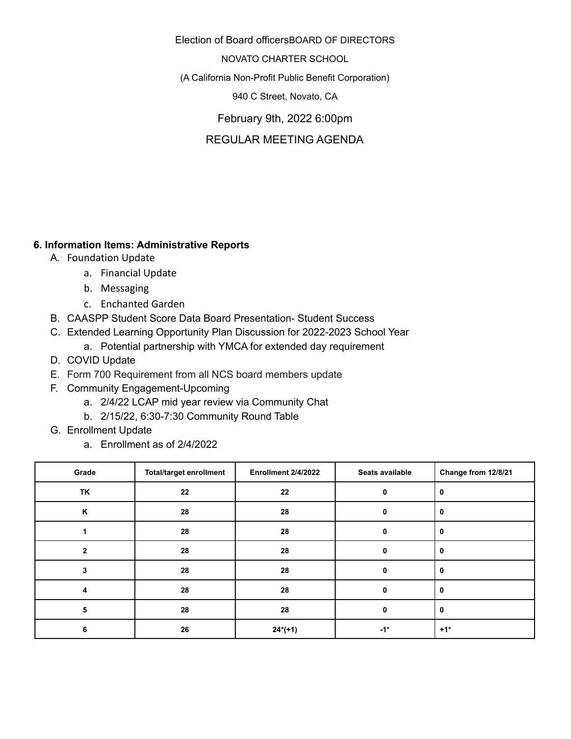NOVATO CHARTER SCHOOL

(A California Non-Profit Public Benefit Corporation)

940 C Street, Novato, CA

February 9th, 2022 6:00pm

REGULAR MEETING AGENDA

## **6. Information Items: Administrative Reports**

- A. Foundation Update
	- a. Financial Update
	- b. Messaging
	- c. Enchanted Garden
- B. CAASPP Student Score Data Board Presentation- Student Success
- C. Extended Learning Opportunity Plan Discussion for 2022-2023 School Year
	- a. Potential partnership with YMCA for extended day requirement
- D. COVID Update
- E. Form 700 Requirement from all NCS board members update
- F. Community Engagement-Upcoming
	- a. 2/4/22 LCAP mid year review via Community Chat
	- b. 2/15/22, 6:30-7:30 Community Round Table
- G. Enrollment Update
	- a. Enrollment as of 2/4/2022

| Grade        | <b>Total/target enrollment</b> | Enrollment 2/4/2022 | Seats available | Change from 12/8/21 |
|--------------|--------------------------------|---------------------|-----------------|---------------------|
| TK           | 22                             | 22                  |                 | 0                   |
| K            | 28                             | 28                  |                 | 0                   |
|              | 28                             | 28                  |                 |                     |
| $\mathbf{2}$ | 28                             | 28                  |                 |                     |
| 3            | 28                             | 28                  |                 | 0                   |
| 4            | 28                             | 28                  | 0               | 0                   |
| 5            | 28                             | 28                  | 0               | 0                   |
| 6            | 26                             | $24*(+1)$           | $-1*$           | $+1*$               |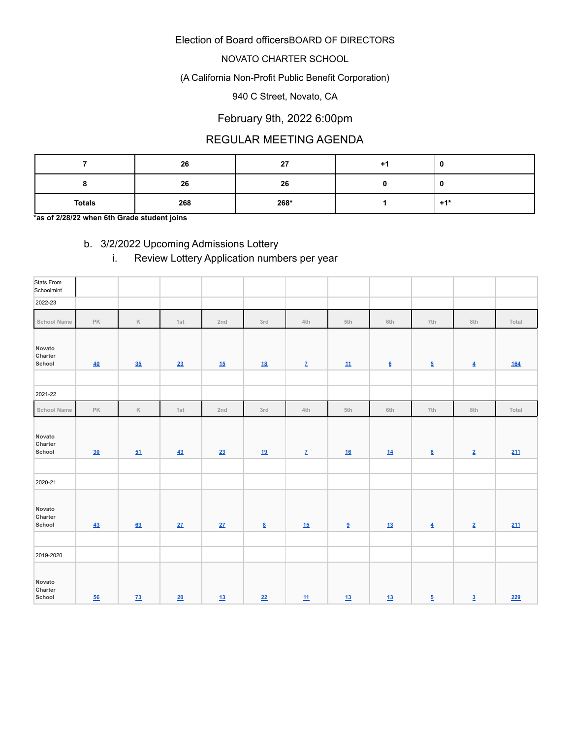### NOVATO CHARTER SCHOOL

### (A California Non-Profit Public Benefit Corporation)

#### 940 C Street, Novato, CA

# February 9th, 2022 6:00pm

# REGULAR MEETING AGENDA

|               | 26  | 27   |       |
|---------------|-----|------|-------|
|               | 26  | 26   |       |
| <b>Totals</b> | 268 | 268* | $+1*$ |

**\*as of 2/28/22 when 6th Grade student joins**

# b. 3/2/2022 Upcoming Admissions Lottery

# i. Review Lottery Application numbers per year

| Stats From<br>Schoolmint    |           |                 |     |     |                          |                           |                           |                          |                          |                          |       |
|-----------------------------|-----------|-----------------|-----|-----|--------------------------|---------------------------|---------------------------|--------------------------|--------------------------|--------------------------|-------|
| 2022-23                     |           |                 |     |     |                          |                           |                           |                          |                          |                          |       |
| <b>School Name</b>          | PK        | $\mathbb K$     | 1st | 2nd | 3rd                      | 4th                       | 5th                       | 6th                      | 7th                      | 8th                      | Total |
| Novato<br>Charter<br>School | 40        | 35              | 23  | 15  | <u>18</u>                | $\mathbf{Z}$              | $\underline{\textbf{11}}$ | $\underline{\mathbf{6}}$ | $\underline{\mathbf{5}}$ | $\overline{\mathbf{4}}$  | 164   |
|                             |           |                 |     |     |                          |                           |                           |                          |                          |                          |       |
| 2021-22                     |           |                 |     |     |                          |                           |                           |                          |                          |                          |       |
| School Name                 | PK        | $\mathbb K$     | 1st | 2nd | 3rd                      | 4th                       | 5th                       | 6th                      | 7th                      | 8th                      | Total |
| Novato<br>Charter<br>School | 30        | 51              | 43  | 23  | 19                       | $\underline{\mathbf{Z}}$  | 16                        | 14                       | $\underline{\mathbf{6}}$ | $\underline{\mathbf{2}}$ | 211   |
|                             |           |                 |     |     |                          |                           |                           |                          |                          |                          |       |
| 2020-21                     |           |                 |     |     |                          |                           |                           |                          |                          |                          |       |
| Novato<br>Charter<br>School | 43        | 63              | 27  | 27  | $\underline{\mathbf{8}}$ | 15                        | $\underline{\mathbf{9}}$  | 13                       | $\overline{4}$           | $\underline{\mathbf{2}}$ | 211   |
|                             |           |                 |     |     |                          |                           |                           |                          |                          |                          |       |
| 2019-2020                   |           |                 |     |     |                          |                           |                           |                          |                          |                          |       |
| Novato<br>Charter<br>School | <u>56</u> | $\overline{73}$ | 20  | 13  | 22                       | $\underline{\textbf{11}}$ | 13                        | 13                       | $\overline{5}$           | $\underline{3}$          | 229   |